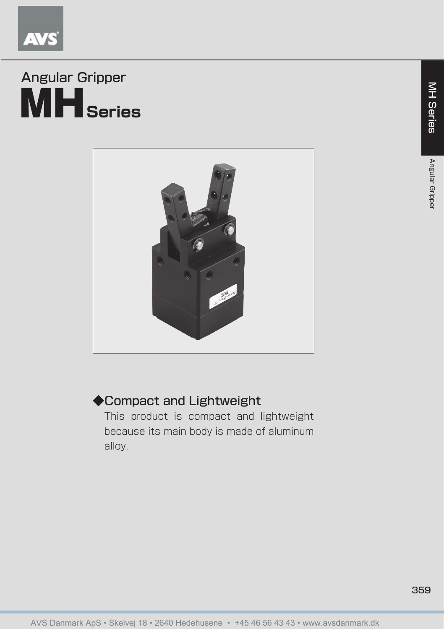

# MH**Series** Angular Gripper



# ◆Compact and Lightweight

This product is compact and lightweight because its main body is made of aluminum alloy.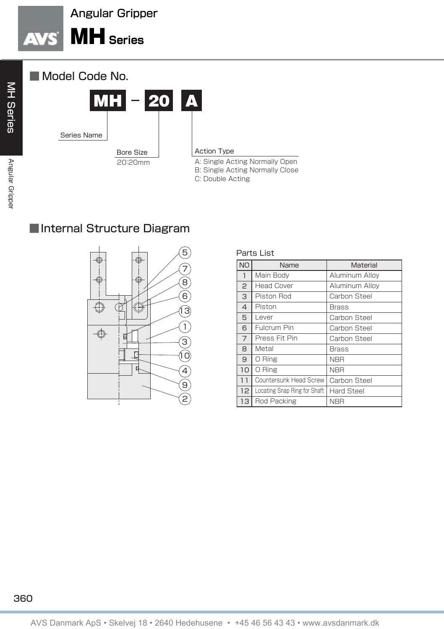





#### Action Type

A: Single Acting Normally Open B: Single Acting Normally Close

C: Double Acting

**MH Series** 

## ■Internal Structure Diagram



| Parts List     |                              |                   |  |  |  |  |  |  |
|----------------|------------------------------|-------------------|--|--|--|--|--|--|
| <b>NO</b>      | Name                         | Material          |  |  |  |  |  |  |
| $\overline{1}$ | Main Bodv                    | Aluminum Allov    |  |  |  |  |  |  |
| $\mathbf{P}$   | <b>Head Cover</b>            | Aluminum Alloy    |  |  |  |  |  |  |
| 3              | Piston Rod                   | Carbon Steel      |  |  |  |  |  |  |
| 4              | Piston                       | <b>Brass</b>      |  |  |  |  |  |  |
| 5              | l ever                       | Carbon Steel      |  |  |  |  |  |  |
| 6              | Fulcrum Pin                  | Carbon Steel      |  |  |  |  |  |  |
| $\overline{7}$ | Press Fit Pin                | Carbon Steel      |  |  |  |  |  |  |
| 8              | Metal                        | Brass             |  |  |  |  |  |  |
| 9              | 0 Ring                       | <b>NBR</b>        |  |  |  |  |  |  |
| 10             | 0 Ring                       | <b>NBR</b>        |  |  |  |  |  |  |
| ו ו            | Countersunk Head Screw       | Carbon Steel      |  |  |  |  |  |  |
| 12             | Locating Snap Ring for Shaft | <b>Hard Steel</b> |  |  |  |  |  |  |
| 13             | Rod Packing                  | <b>NBR</b>        |  |  |  |  |  |  |

### 360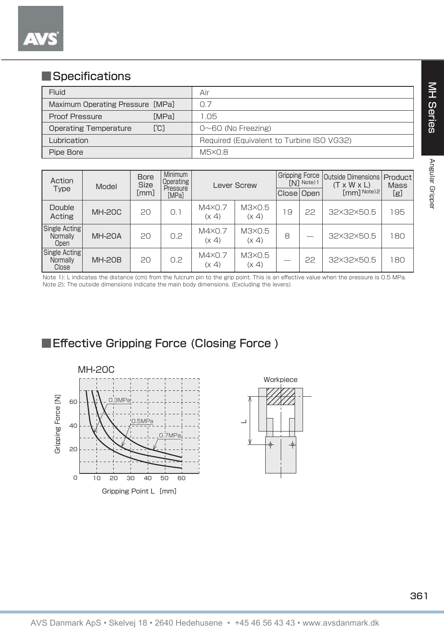## ■Specifications

| Fluid                                | Air                                       |
|--------------------------------------|-------------------------------------------|
| Maximum Operating Pressure [MPa]     | 0.7                                       |
| <b>MPal</b><br>Proof Pressure        | 1.05                                      |
| [°C]<br><b>Operating Temperature</b> | $0\neg 60$ (No Freezing)                  |
| Lubrication                          | Required (Equivalent to Turbine ISO VG32) |
| Pipe Bore                            | M5×0.8                                    |

| Action<br>Type                     | Model         | <b>Bore</b><br><b>Size</b><br>[mm] | Minimum<br>Operating<br>Pressure<br>[MPa] | Lever Screw             |                 | <b>Gripping Force</b><br>[N] Note) 1<br>Close Open |    | <b>Outside Dimensions</b><br>$(T \times W \times L)$<br>[mm] Note)2 | Product<br><b>Mass</b><br>[g] |
|------------------------------------|---------------|------------------------------------|-------------------------------------------|-------------------------|-----------------|----------------------------------------------------|----|---------------------------------------------------------------------|-------------------------------|
| Double<br>Acting                   | <b>MH-20C</b> | 20                                 | $\Omega$ . 1                              | $M4\times 0.7$<br>(x 4) | M3X0.5<br>(x 4) | 9                                                  | 22 | 32×32×50.5                                                          | 195                           |
| Single Acting<br>Normally<br>Open  | <b>MH-20A</b> | 20                                 | 0.2                                       | $M4\times 0.7$<br>(x 4) | M3×0.5<br>(x 4) | 8                                                  | _  | 32×32×50.5                                                          | 180                           |
| Single Acting<br>Normally<br>Close | <b>MH-20B</b> | 20                                 | 0.2                                       | $M4\times 0.7$<br>(x 4) | M3×0.5<br>(x 4) |                                                    | 22 | 32×32×50.5                                                          | 180                           |

Note 1): L indicates the distance (cm) from the fulcrum pin to the grip point. This is an effective value when the pressure is 0.5 MPa. Note 2): The outside dimensions indicate the main body dimensions. (Excluding the levers)

■Effective Gripping Force (Closing Force)



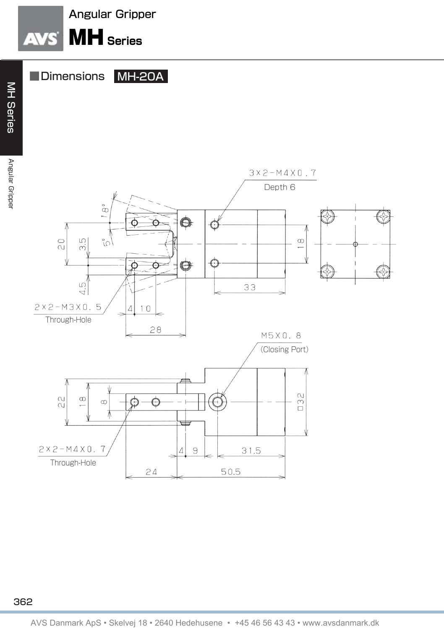



■Dimensions MH-20A

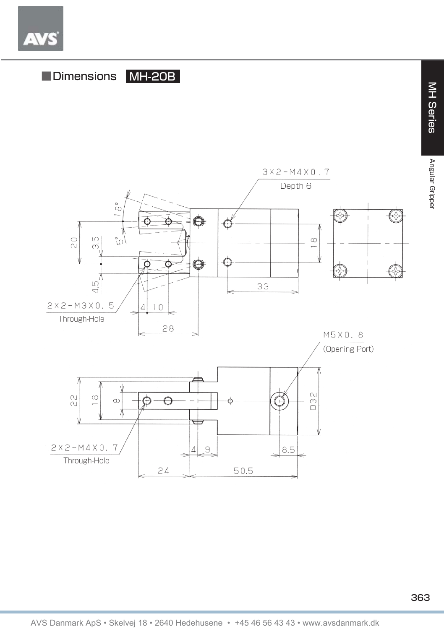